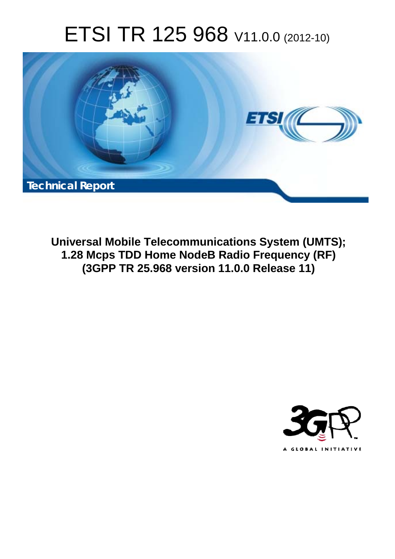# ETSI TR 125 968 V11.0.0 (2012-10)



**Universal Mobile Telecommunications System (UMTS); 1.28 Mcps TDD Home NodeB Radio Frequency (RF) (3GPP TR 25.968 version 11.0.0 Release 11)** 

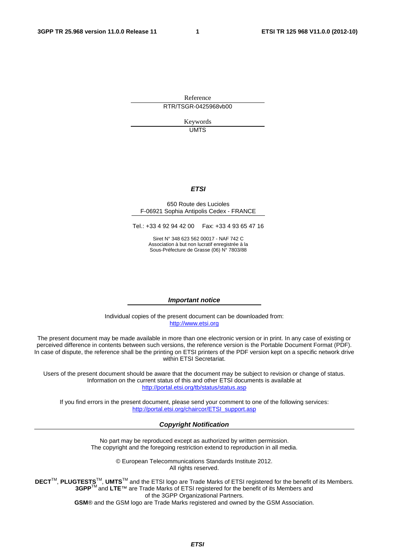Reference RTR/TSGR-0425968vb00

> Keywords UMTS

#### *ETSI*

#### 650 Route des Lucioles F-06921 Sophia Antipolis Cedex - FRANCE

Tel.: +33 4 92 94 42 00 Fax: +33 4 93 65 47 16

Siret N° 348 623 562 00017 - NAF 742 C Association à but non lucratif enregistrée à la Sous-Préfecture de Grasse (06) N° 7803/88

#### *Important notice*

Individual copies of the present document can be downloaded from: [http://www.etsi.org](http://www.etsi.org/)

The present document may be made available in more than one electronic version or in print. In any case of existing or perceived difference in contents between such versions, the reference version is the Portable Document Format (PDF). In case of dispute, the reference shall be the printing on ETSI printers of the PDF version kept on a specific network drive within ETSI Secretariat.

Users of the present document should be aware that the document may be subject to revision or change of status. Information on the current status of this and other ETSI documents is available at <http://portal.etsi.org/tb/status/status.asp>

If you find errors in the present document, please send your comment to one of the following services: [http://portal.etsi.org/chaircor/ETSI\\_support.asp](http://portal.etsi.org/chaircor/ETSI_support.asp)

#### *Copyright Notification*

No part may be reproduced except as authorized by written permission. The copyright and the foregoing restriction extend to reproduction in all media.

> © European Telecommunications Standards Institute 2012. All rights reserved.

DECT<sup>™</sup>, PLUGTESTS<sup>™</sup>, UMTS<sup>™</sup> and the ETSI logo are Trade Marks of ETSI registered for the benefit of its Members. **3GPP**TM and **LTE**™ are Trade Marks of ETSI registered for the benefit of its Members and of the 3GPP Organizational Partners.

**GSM**® and the GSM logo are Trade Marks registered and owned by the GSM Association.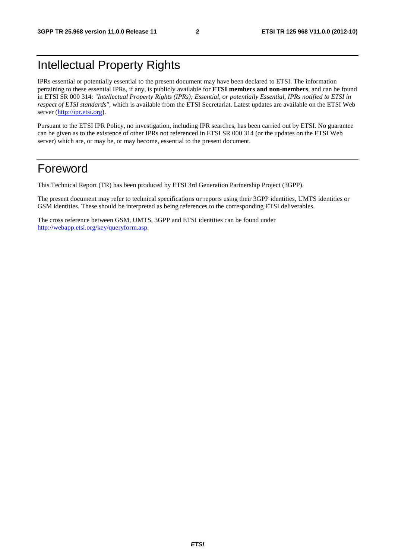# Intellectual Property Rights

IPRs essential or potentially essential to the present document may have been declared to ETSI. The information pertaining to these essential IPRs, if any, is publicly available for **ETSI members and non-members**, and can be found in ETSI SR 000 314: *"Intellectual Property Rights (IPRs); Essential, or potentially Essential, IPRs notified to ETSI in respect of ETSI standards"*, which is available from the ETSI Secretariat. Latest updates are available on the ETSI Web server ([http://ipr.etsi.org\)](http://webapp.etsi.org/IPR/home.asp).

Pursuant to the ETSI IPR Policy, no investigation, including IPR searches, has been carried out by ETSI. No guarantee can be given as to the existence of other IPRs not referenced in ETSI SR 000 314 (or the updates on the ETSI Web server) which are, or may be, or may become, essential to the present document.

# Foreword

This Technical Report (TR) has been produced by ETSI 3rd Generation Partnership Project (3GPP).

The present document may refer to technical specifications or reports using their 3GPP identities, UMTS identities or GSM identities. These should be interpreted as being references to the corresponding ETSI deliverables.

The cross reference between GSM, UMTS, 3GPP and ETSI identities can be found under [http://webapp.etsi.org/key/queryform.asp.](http://webapp.etsi.org/key/queryform.asp)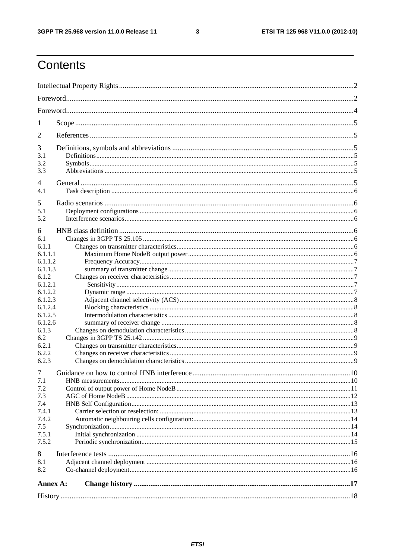$\mathbf{3}$ 

# Contents

| Annex A:         |  |
|------------------|--|
| 8.2              |  |
| 8.1              |  |
| 8                |  |
|                  |  |
| 7.5.2            |  |
| 7.5.1            |  |
| 7.5              |  |
| 7.4.2            |  |
| 7.4.1            |  |
| 7.4              |  |
| 7.3              |  |
| 7.2              |  |
| 7.1              |  |
| 7                |  |
| 6.2.3            |  |
| 6.2.2            |  |
| 6.2.1            |  |
| 6.2              |  |
| 6.1.3            |  |
| 6.1.2.6          |  |
| 6.1.2.5          |  |
| 6.1.2.4          |  |
| 6.1.2.3          |  |
| 6.1.2.2          |  |
| 6.1.2.1          |  |
| 6.1.2            |  |
| 6.1.1.3          |  |
| 6.1.1.2          |  |
| 6.1.1<br>6.1.1.1 |  |
| 6.1              |  |
| 6                |  |
|                  |  |
| 5.2              |  |
| 5.1              |  |
| 5                |  |
| 4.1              |  |
| 4                |  |
|                  |  |
| 3.2<br>3.3       |  |
| 3.1              |  |
| 3                |  |
|                  |  |
| 2                |  |
| 1                |  |
|                  |  |
|                  |  |
|                  |  |
|                  |  |
|                  |  |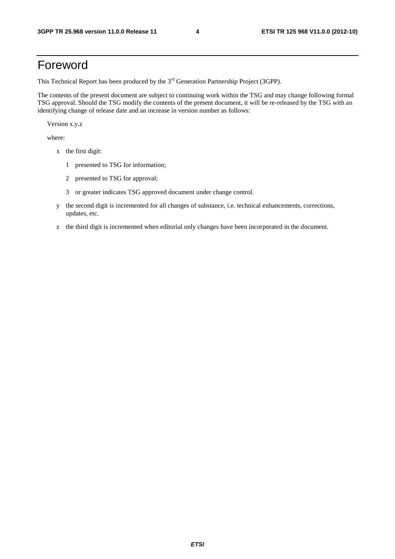# Foreword

This Technical Report has been produced by the  $3<sup>rd</sup>$  Generation Partnership Project (3GPP).

The contents of the present document are subject to continuing work within the TSG and may change following formal TSG approval. Should the TSG modify the contents of the present document, it will be re-released by the TSG with an identifying change of release date and an increase in version number as follows:

Version x.y.z

where:

- x the first digit:
	- 1 presented to TSG for information;
	- 2 presented to TSG for approval;
	- 3 or greater indicates TSG approved document under change control.
- y the second digit is incremented for all changes of substance, i.e. technical enhancements, corrections, updates, etc.
- z the third digit is incremented when editorial only changes have been incorporated in the document.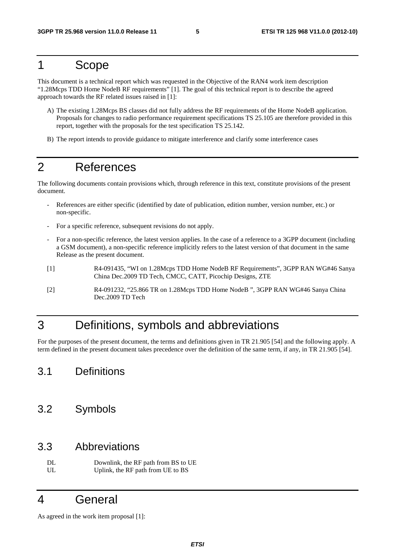# 1 Scope

This document is a technical report which was requested in the Objective of the RAN4 work item description "1.28Mcps TDD Home NodeB RF requirements" [1]. The goal of this technical report is to describe the agreed approach towards the RF related issues raised in [1]:

- A) The existing 1.28Mcps BS classes did not fully address the RF requirements of the Home NodeB application. Proposals for changes to radio performance requirement specifications TS 25.105 are therefore provided in this report, together with the proposals for the test specification TS 25.142.
- B) The report intends to provide guidance to mitigate interference and clarify some interference cases

# 2 References

The following documents contain provisions which, through reference in this text, constitute provisions of the present document.

- References are either specific (identified by date of publication, edition number, version number, etc.) or non-specific.
- For a specific reference, subsequent revisions do not apply.
- For a non-specific reference, the latest version applies. In the case of a reference to a 3GPP document (including a GSM document), a non-specific reference implicitly refers to the latest version of that document in the same Release as the present document.
- [1] R4-091435, "WI on 1.28Mcps TDD Home NodeB RF Requirements", 3GPP RAN WG#46 Sanya China Dec.2009 TD Tech, CMCC, CATT, Picochip Designs, ZTE
- [2] R4-091232, "25.866 TR on 1.28Mcps TDD Home NodeB ", 3GPP RAN WG#46 Sanya China Dec.2009 TD Tech

# 3 Definitions, symbols and abbreviations

For the purposes of the present document, the terms and definitions given in TR 21.905 [54] and the following apply. A term defined in the present document takes precedence over the definition of the same term, if any, in TR 21.905 [54].

# 3.1 Definitions

3.2 Symbols

### 3.3 Abbreviations

DL Downlink, the RF path from BS to UE UL Uplink, the RF path from UE to BS

# 4 General

As agreed in the work item proposal [1]: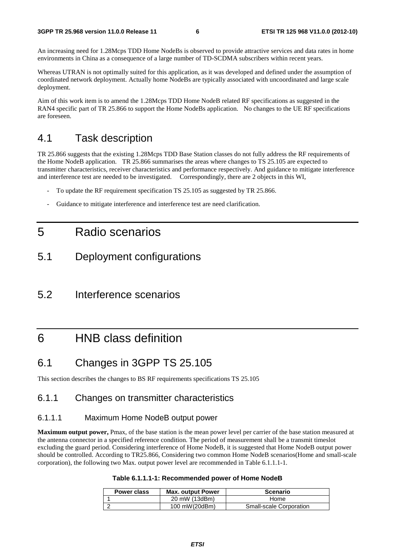An increasing need for 1.28Mcps TDD Home NodeBs is observed to provide attractive services and data rates in home environments in China as a consequence of a large number of TD-SCDMA subscribers within recent years.

Whereas UTRAN is not optimally suited for this application, as it was developed and defined under the assumption of coordinated network deployment. Actually home NodeBs are typically associated with uncoordinated and large scale deployment.

Aim of this work item is to amend the 1.28Mcps TDD Home NodeB related RF specifications as suggested in the RAN4 specific part of TR 25.866 to support the Home NodeBs application. No changes to the UE RF specifications are foreseen.

### 4.1 Task description

TR 25.866 suggests that the existing 1.28Mcps TDD Base Station classes do not fully address the RF requirements of the Home NodeB application. TR 25.866 summarises the areas where changes to TS 25.105 are expected to transmitter characteristics, receiver characteristics and performance respectively. And guidance to mitigate interference and interference test are needed to be investigated. Correspondingly, there are 2 objects in this WI,

- To update the RF requirement specification TS 25.105 as suggested by TR 25.866.
- Guidance to mitigate interference and interference test are need clarification.

# 5 Radio scenarios

### 5.1 Deployment configurations

5.2 Interference scenarios

# 6 HNB class definition

# 6.1 Changes in 3GPP TS 25.105

This section describes the changes to BS RF requirements specifications TS 25.105

### 6.1.1 Changes on transmitter characteristics

#### 6.1.1.1 Maximum Home NodeB output power

**Maximum output power,** Pmax, of the base station is the mean power level per carrier of the base station measured at the antenna connector in a specified reference condition. The period of measurement shall be a transmit timeslot excluding the guard period. Considering interference of Home NodeB, it is suggested that Home NodeB output power should be controlled. According to TR25.866, Considering two common Home NodeB scenarios(Home and small-scale corporation), the following two Max. output power level are recommended in Table 6.1.1.1-1.

| Table 6.1.1.1-1: Recommended power of Home NodeB |  |
|--------------------------------------------------|--|
|--------------------------------------------------|--|

| Power class | <b>Max. output Power</b> | <b>Scenario</b>                |
|-------------|--------------------------|--------------------------------|
|             | 20 mW (13dBm)            | Home                           |
|             | 100 mW(20dBm)            | <b>Small-scale Corporation</b> |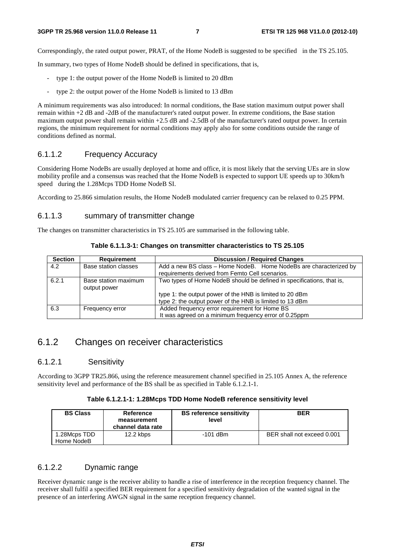Correspondingly, the rated output power, PRAT, of the Home NodeB is suggested to be specified in the TS 25.105.

In summary, two types of Home NodeB should be defined in specifications, that is,

- type 1: the output power of the Home NodeB is limited to 20 dBm
- type 2: the output power of the Home NodeB is limited to 13 dBm

A minimum requirements was also introduced: In normal conditions, the Base station maximum output power shall remain within +2 dB and -2dB of the manufacturer's rated output power. In extreme conditions, the Base station maximum output power shall remain within +2.5 dB and -2.5dB of the manufacturer's rated output power. In certain regions, the minimum requirement for normal conditions may apply also for some conditions outside the range of conditions defined as normal.

#### 6.1.1.2 Frequency Accuracy

Considering Home NodeBs are usually deployed at home and office, it is most likely that the serving UEs are in slow mobility profile and a consensus was reached that the Home NodeB is expected to support UE speeds up to 30km/h speed during the 1.28Mcps TDD Home NodeB SI.

According to 25.866 simulation results, the Home NodeB modulated carrier frequency can be relaxed to 0.25 PPM.

#### 6.1.1.3 summary of transmitter change

The changes on transmitter characteristics in TS 25.105 are summarised in the following table.

| <b>Section</b> | <b>Requirement</b>                   | <b>Discussion / Required Changes</b>                                                                                 |  |
|----------------|--------------------------------------|----------------------------------------------------------------------------------------------------------------------|--|
| 4.2            | Base station classes                 | Add a new BS class - Home NodeB. Home NodeBs are characterized by<br>requirements derived from Femto Cell scenarios. |  |
| 6.2.1          | Base station maximum<br>output power | Two types of Home NodeB should be defined in specifications, that is,                                                |  |
|                |                                      | type 1: the output power of the HNB is limited to 20 dBm                                                             |  |
|                |                                      | type 2: the output power of the HNB is limited to 13 dBm                                                             |  |
| 6.3            | Frequency error                      | Added frequency error requirement for Home BS                                                                        |  |
|                |                                      | It was agreed on a minimum frequency error of 0.25ppm                                                                |  |

**Table 6.1.1.3-1: Changes on transmitter characteristics to TS 25.105** 

### 6.1.2 Changes on receiver characteristics

#### 6.1.2.1 Sensitivity

According to 3GPP TR25.866, using the reference measurement channel specified in 25.105 Annex A, the reference sensitivity level and performance of the BS shall be as specified in Table 6.1.2.1-1.

|  |  | Table 6.1.2.1-1: 1.28Mcps TDD Home NodeB reference sensitivity level |
|--|--|----------------------------------------------------------------------|
|--|--|----------------------------------------------------------------------|

| <b>BS Class</b>            | <b>Reference</b><br>measurement<br>channel data rate | <b>BS reference sensitivity</b><br>level | <b>BER</b>                 |
|----------------------------|------------------------------------------------------|------------------------------------------|----------------------------|
| 1.28Mcps TDD<br>Home NodeB | 12.2 kbps                                            | $-101$ dBm                               | BER shall not exceed 0.001 |

### 6.1.2.2 Dynamic range

Receiver dynamic range is the receiver ability to handle a rise of interference in the reception frequency channel. The receiver shall fulfil a specified BER requirement for a specified sensitivity degradation of the wanted signal in the presence of an interfering AWGN signal in the same reception frequency channel.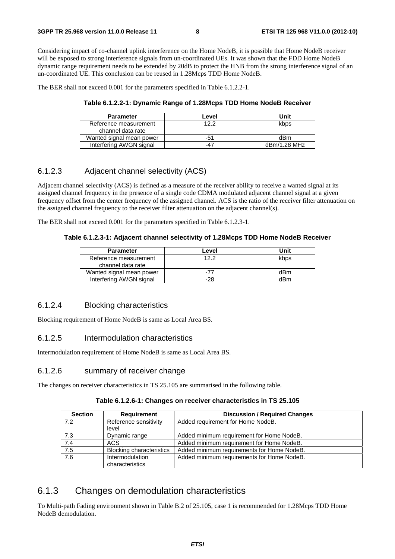Considering impact of co-channel uplink interference on the Home NodeB, it is possible that Home NodeB receiver will be exposed to strong interference signals from un-coordinated UEs. It was shown that the FDD Home NodeB dynamic range requirement needs to be extended by 20dB to protect the HNB from the strong interference signal of an un-coordinated UE. This conclusion can be reused in 1.28Mcps TDD Home NodeB.

The BER shall not exceed 0.001 for the parameters specified in Table 6.1.2.2-1.

| <b>Parameter</b>                           | Level | Unit         |
|--------------------------------------------|-------|--------------|
| Reference measurement<br>channel data rate | 12.2  | kbps         |
| Wanted signal mean power                   | -51   | dBm          |
| Interfering AWGN signal                    | -47   | dBm/1.28 MHz |

#### 6.1.2.3 Adjacent channel selectivity (ACS)

Adjacent channel selectivity (ACS) is defined as a measure of the receiver ability to receive a wanted signal at its assigned channel frequency in the presence of a single code CDMA modulated adjacent channel signal at a given frequency offset from the center frequency of the assigned channel. ACS is the ratio of the receiver filter attenuation on the assigned channel frequency to the receiver filter attenuation on the adjacent channel(s).

The BER shall not exceed 0.001 for the parameters specified in Table 6.1.2.3-1.

#### **Table 6.1.2.3-1: Adjacent channel selectivity of 1.28Mcps TDD Home NodeB Receiver**

| <b>Parameter</b>         | Level    | Unit |
|--------------------------|----------|------|
| Reference measurement    | 12.2     | kbps |
| channel data rate        |          |      |
| Wanted signal mean power | $-7^{-}$ | dBm  |
| Interfering AWGN signal  | -28      | dBm  |

#### 6.1.2.4 Blocking characteristics

Blocking requirement of Home NodeB is same as Local Area BS.

#### 6.1.2.5 Intermodulation characteristics

Intermodulation requirement of Home NodeB is same as Local Area BS.

#### 6.1.2.6 summary of receiver change

The changes on receiver characteristics in TS 25.105 are summarised in the following table.

| <b>Section</b> | <b>Requirement</b>                 | <b>Discussion / Required Changes</b>       |
|----------------|------------------------------------|--------------------------------------------|
| 7.2            | Reference sensitivity<br>level     | Added requirement for Home NodeB.          |
| 7.3            | Dynamic range                      | Added minimum requirement for Home NodeB.  |
| 7.4            | ACS.                               | Added minimum requirement for Home NodeB.  |
| 7.5            | <b>Blocking characteristics</b>    | Added minimum requirements for Home NodeB. |
| 7.6            | Intermodulation<br>characteristics | Added minimum requirements for Home NodeB. |

### 6.1.3 Changes on demodulation characteristics

To Multi-path Fading environment shown in Table B.2 of 25.105, case 1 is recommended for 1.28Mcps TDD Home NodeB demodulation.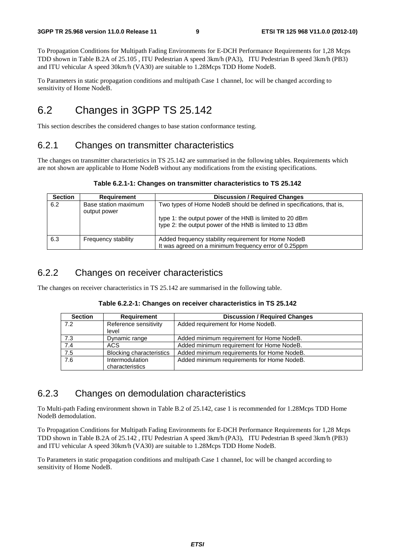To Propagation Conditions for Multipath Fading Environments for E-DCH Performance Requirements for 1,28 Mcps TDD shown in Table B.2A of 25.105, ITU Pedestrian A speed 3km/h (PA3), ITU Pedestrian B speed 3km/h (PB3) and ITU vehicular A speed 30km/h (VA30) are suitable to 1.28Mcps TDD Home NodeB.

To Parameters in static propagation conditions and multipath Case 1 channel, Ioc will be changed according to sensitivity of Home NodeB.

# 6.2 Changes in 3GPP TS 25.142

This section describes the considered changes to base station conformance testing.

### 6.2.1 Changes on transmitter characteristics

The changes on transmitter characteristics in TS 25.142 are summarised in the following tables. Requirements which are not shown are applicable to Home NodeB without any modifications from the existing specifications.

**Table 6.2.1-1: Changes on transmitter characteristics to TS 25.142** 

| <b>Section</b> | Requirement                          | <b>Discussion / Required Changes</b>                                                                                 |  |
|----------------|--------------------------------------|----------------------------------------------------------------------------------------------------------------------|--|
| 6.2            | Base station maximum<br>output power | Two types of Home NodeB should be defined in specifications, that is,                                                |  |
|                |                                      | type 1: the output power of the HNB is limited to 20 dBm<br>type 2: the output power of the HNB is limited to 13 dBm |  |
| 6.3            | Frequency stability                  | Added frequency stability requirement for Home NodeB<br>It was agreed on a minimum frequency error of 0.25ppm        |  |

### 6.2.2 Changes on receiver characteristics

The changes on receiver characteristics in TS 25.142 are summarised in the following table.

|  | Table 6.2.2-1: Changes on receiver characteristics in TS 25.142 |
|--|-----------------------------------------------------------------|
|--|-----------------------------------------------------------------|

| <b>Section</b> | <b>Requirement</b>                 | <b>Discussion / Required Changes</b>       |  |  |
|----------------|------------------------------------|--------------------------------------------|--|--|
| 7.2            | Reference sensitivity<br>level     | Added requirement for Home NodeB.          |  |  |
| 7.3            | Dynamic range                      | Added minimum requirement for Home NodeB.  |  |  |
| 7.4            | ACS                                | Added minimum requirement for Home NodeB.  |  |  |
| 7.5            | <b>Blocking characteristics</b>    | Added minimum requirements for Home NodeB. |  |  |
| 7.6            | Intermodulation<br>characteristics | Added minimum requirements for Home NodeB. |  |  |

### 6.2.3 Changes on demodulation characteristics

To Multi-path Fading environment shown in Table B.2 of 25.142, case 1 is recommended for 1.28Mcps TDD Home NodeB demodulation.

To Propagation Conditions for Multipath Fading Environments for E-DCH Performance Requirements for 1,28 Mcps TDD shown in Table B.2A of 25.142 , ITU Pedestrian A speed 3km/h (PA3),ITU Pedestrian B speed 3km/h (PB3) and ITU vehicular A speed 30km/h (VA30) are suitable to 1.28Mcps TDD Home NodeB.

To Parameters in static propagation conditions and multipath Case 1 channel, Ioc will be changed according to sensitivity of Home NodeB.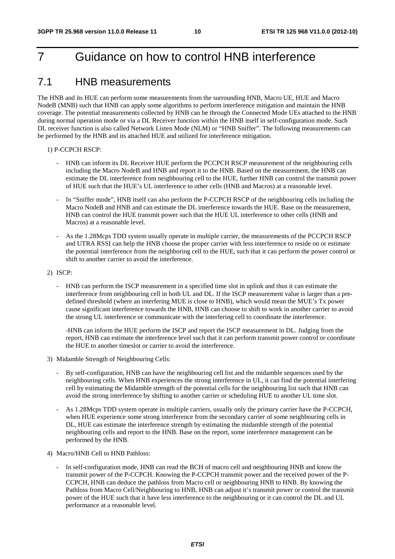# 7 Guidance on how to control HNB interference

### 7.1 HNB measurements

The HNB and its HUE can perform some measurements from the surrounding HNB, Macro UE, HUE and Macro NodeB (MNB) such that HNB can apply some algorithms to perform interference mitigation and maintain the HNB coverage. The potential measurements collected by HNB can be through the Connected Mode UEs attached to the HNB during normal operation mode or via a DL Receiver function within the HNB itself in self-configuration mode. Such DL receiver function is also called Network Listen Mode (NLM) or "HNB Sniffer". The following measurements can be performed by the HNB and its attached HUE and utilized for interference mitigation.

#### 1) P-CCPCH RSCP:

- HNB can inform its DL Receiver HUE perform the PCCPCH RSCP measurement of the neighbouring cells including the Macro NodeB and HNB and report it to the HNB. Based on the measurement, the HNB can estimate the DL interference from neighbouring cell to the HUE, further HNB can control the transmit power of HUE such that the HUE's UL interference to other cells (HNB and Macros) at a reasonable level.
- In "Sniffer mode", HNB itself can also perform the P-CCPCH RSCP of the neighbouring cells including the Macro NodeB and HNB and can estimate the DL interference towards the HUE. Base on the measurement, HNB can control the HUE transmit power such that the HUE UL interference to other cells (HNB and Macros) at a reasonable level.
- As the 1.28Mcps TDD system usually operate in multiple carrier, the measurements of the PCCPCH RSCP and UTRA RSSI can help the HNB choose the proper carrier with less interference to reside on or estimate the potential interference from the neighboring cell to the HUE, such that it can perform the power control or shift to another carrier to avoid the interference.

#### 2) ISCP:

- HNB can perform the ISCP measurement in a specified time slot in uplink and thus it can estimate the interference from neighbouring cell in both UL and DL. If the ISCP measurement value is larger than a predefined threshold (where an interfering MUE is close to HNB), which would mean the MUE's Tx power cause significant interference towards the HNB, HNB can choose to shift to work in another carrier to avoid the strong UL interference or communicate with the interfering cell to coordinate the interference.

 -HNB can inform the HUE perform the ISCP and report the ISCP measurement in DL. Judging from the report, HNB can estimate the interference level such that it can perform transmit power control or coordinate the HUE to another timeslot or carrier to avoid the interference.

- 3) Midamble Strength of Neighbouring Cells:
	- By self-configuration, HNB can have the neighbouring cell list and the midamble sequences used by the neighbouring cells. When HNB experiences the strong interference in UL, it can find the potential interfering cell by estimating the Midamble strength of the potential cells for the neighbouring list such that HNB can avoid the strong interference by shifting to another carrier or scheduling HUE to another UL time slot.
	- As 1.28Mcps TDD system operate in multiple carriers, usually only the primary carrier have the P-CCPCH, when HUE experience some strong interference from the secondary carrier of some neighbouring cells in DL, HUE can estimate the interference strength by estimating the midamble strength of the potential neighbouring cells and report to the HNB. Base on the report, some interference management can be performed by the HNB.
- 4) Macro/HNB Cell to HNB Pathloss:
	- In self-configuration mode, HNB can read the BCH of macro cell and neighbouring HNB and know the transmit power of the P-CCPCH. Knowing the P-CCPCH transmit power and the received power of the P-CCPCH, HNB can deduce the pathloss from Macro cell or neighbouring HNB to HNB. By knowing the Pathloss from Macro Cell/Neighbouring to HNB, HNB can adjust it's transmit power or control the transmit power of the HUE such that it have less interference to the neighbouring or it can control the DL and UL performance at a reasonable level.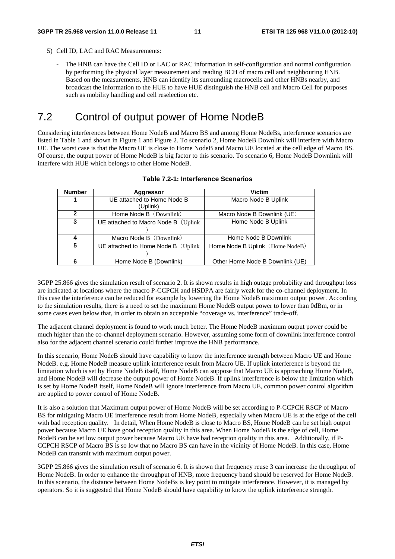The HNB can have the Cell ID or LAC or RAC information in self-configuration and normal configuration by performing the physical layer measurement and reading BCH of macro cell and neighbouring HNB. Based on the measurements, HNB can identify its surrounding macrocells and other HNBs nearby, and broadcast the information to the HUE to have HUE distinguish the HNB cell and Macro Cell for purposes such as mobility handling and cell reselection etc.

# 7.2 Control of output power of Home NodeB

Considering interferences between Home NodeB and Macro BS and among Home NodeBs, interference scenarios are listed in Table 1 and shown in Figure 1 and Figure 2. To scenario 2, Home NodeB Downlink will interfere with Macro UE. The worst case is that the Macro UE is close to Home NodeB and Macro UE located at the cell edge of Macro BS. Of course, the output power of Home NodeB is big factor to this scenario. To scenario 6, Home NodeB Downlink will interfere with HUE which belongs to other Home NodeB.

| <b>Number</b> | Aggressor                              | <b>Victim</b>                   |
|---------------|----------------------------------------|---------------------------------|
|               | UE attached to Home Node B<br>(Uplink) | Macro Node B Uplink             |
| 2             | Home Node B (Downlink)                 | Macro Node B Downlink (UE)      |
| 3             | UE attached to Macro Node B (Uplink    | Home Node B Uplink              |
| 4             | Macro Node B (Downlink)                | Home Node B Downlink            |
| 5             | UE attached to Home Node B (Uplink     | Home Node B Uplink (Home NodeB) |
| 6             | Home Node B (Downlink)                 | Other Home Node B Downlink (UE) |

#### **Table 7.2-1: Interference Scenarios**

3GPP 25.866 gives the simulation result of scenario 2. It is shown results in high outage probability and throughput loss are indicated at locations where the macro P-CCPCH and HSDPA are fairly weak for the co-channel deployment. In this case the interference can be reduced for example by lowering the Home NodeB maximum output power. According to the simulation results, there is a need to set the maximum Home NodeB output power to lower than 0dBm, or in some cases even below that, in order to obtain an acceptable "coverage vs. interference" trade-off.

The adjacent channel deployment is found to work much better. The Home NodeB maximum output power could be much higher than the co-channel deployment scenario. However, assuming some form of downlink interference control also for the adjacent channel scenario could further improve the HNB performance.

In this scenario, Home NodeB should have capability to know the interference strength between Macro UE and Home NodeB. e.g. Home NodeB measure uplink interference result from Macro UE. If uplink interference is beyond the limitation which is set by Home NodeB itself, Home NodeB can suppose that Macro UE is approaching Home NodeB, and Home NodeB will decrease the output power of Home NodeB. If uplink interference is below the limitation which is set by Home NodeB itself, Home NodeB will ignore interference from Macro UE, common power control algorithm are applied to power control of Home NodeB.

It is also a solution that Maximum output power of Home NodeB will be set according to P-CCPCH RSCP of Macro BS for mitigating Macro UE interference result from Home NodeB, especially when Macro UE is at the edge of the cell with bad reception quality. In detail, When Home NodeB is close to Macro BS, Home NodeB can be set high output power because Macro UE have good reception quality in this area. When Home NodeB is the edge of cell, Home NodeB can be set low output power because Macro UE have bad reception quality in this area. Additionally, if P-CCPCH RSCP of Macro BS is so low that no Macro BS can have in the vicinity of Home NodeB. In this case, Home NodeB can transmit with maximum output power.

3GPP 25.866 gives the simulation result of scenario 6. It is shown that frequency reuse 3 can increase the throughput of Home NodeB. In order to enhance the throughput of HNB, more frequency band should be reserved for Home NodeB. In this scenario, the distance between Home NodeBs is key point to mitigate interference. However, it is managed by operators. So it is suggested that Home NodeB should have capability to know the uplink interference strength.

<sup>5)</sup> Cell ID, LAC and RAC Measurements: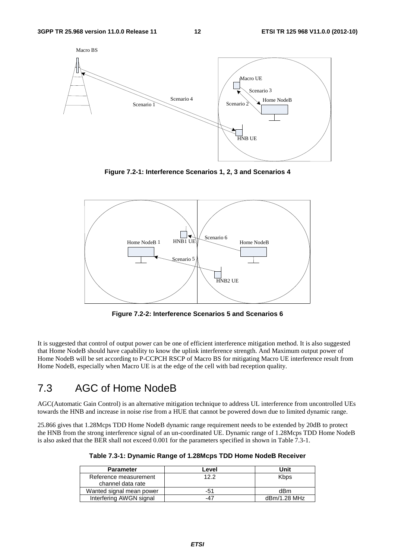

**Figure 7.2-1: Interference Scenarios 1, 2, 3 and Scenarios 4** 



**Figure 7.2-2: Interference Scenarios 5 and Scenarios 6** 

It is suggested that control of output power can be one of efficient interference mitigation method. It is also suggested that Home NodeB should have capability to know the uplink interference strength. And Maximum output power of Home NodeB will be set according to P-CCPCH RSCP of Macro BS for mitigating Macro UE interference result from Home NodeB, especially when Macro UE is at the edge of the cell with bad reception quality.

# 7.3 AGC of Home NodeB

AGC(Automatic Gain Control) is an alternative mitigation technique to address UL interference from uncontrolled UEs towards the HNB and increase in noise rise from a HUE that cannot be powered down due to limited dynamic range.

25.866 gives that 1.28Mcps TDD Home NodeB dynamic range requirement needs to be extended by 20dB to protect the HNB from the strong interference signal of an un-coordinated UE. Dynamic range of 1.28Mcps TDD Home NodeB is also asked that the BER shall not exceed 0.001 for the parameters specified in shown in Table 7.3-1.

|  |  |  | Table 7.3-1: Dynamic Range of 1.28Mcps TDD Home NodeB Receiver |
|--|--|--|----------------------------------------------------------------|
|--|--|--|----------------------------------------------------------------|

| <b>Parameter</b>                           | Level | Unit         |
|--------------------------------------------|-------|--------------|
| Reference measurement<br>channel data rate | 122   | <b>Kbps</b>  |
| Wanted signal mean power                   | -51   | dBm          |
| Interfering AWGN signal                    | -47   | dBm/1.28 MHz |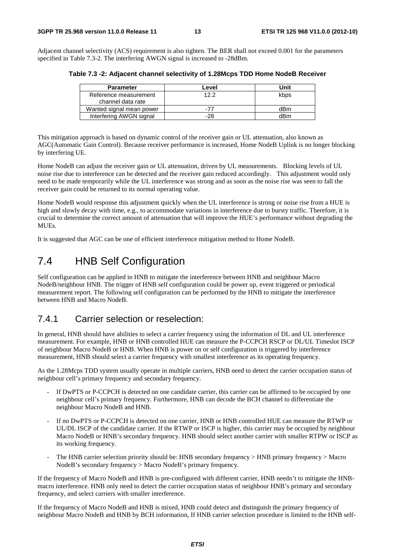Adjacent channel selectivity (ACS) requirement is also tighten. The BER shall not exceed 0.001 for the parameters specified in Table 7.3-2. The interfering AWGN signal is increased to -28dBm.

**Table 7.3 -2: Adjacent channel selectivity of 1.28Mcps TDD Home NodeB Receiver** 

| <b>Parameter</b>         | Level | Unit |
|--------------------------|-------|------|
| Reference measurement    | 122   | kbps |
| channel data rate        |       |      |
| Wanted signal mean power | $-7-$ | dBm  |
| Interfering AWGN signal  | -28   | dBm  |

This mitigation approach is based on dynamic control of the receiver gain or UL attenuation, also known as AGC(Automatic Gain Control). Because receiver performance is increased, Home NodeB Uplink is no longer blocking by interfering UE.

Home NodeB can adjust the receiver gain or UL attenuation, driven by UL measurements. Blocking levels of UL noise rise due to interference can be detected and the receiver gain reduced accordingly. This adjustment would only need to be made temporarily while the UL interference was strong and as soon as the noise rise was seen to fall the receiver gain could be returned to its normal operating value.

Home NodeB would response this adjustment quickly when the UL interference is strong or noise rise from a HUE is high and slowly decay with time, e.g., to accommodate variations in interference due to bursty traffic. Therefore, it is crucial to determine the correct amount of attenuation that will improve the HUE's performance without degrading the MUEs.

It is suggested that AGC can be one of efficient interference mitigation method to Home NodeB.

# 7.4 HNB Self Configuration

Self configuration can be applied in HNB to mitigate the interference between HNB and neighbour Macro NodeB/neighbour HNB. The trigger of HNB self configuration could be power up, event triggered or periodical measurement report. The following self configuration can be performed by the HNB to mitigate the interference between HNB and Macro NodeB.

### 7.4.1 Carrier selection or reselection:

In general, HNB should have abilities to select a carrier frequency using the information of DL and UL interference measurement. For example, HNB or HNB controlled HUE can measure the P-CCPCH RSCP or DL/UL Timeslot ISCP of neighbour Macro NodeB or HNB. When HNB is power on or self configuration is triggered by interference measurement, HNB should select a carrier frequency with smallest interference as its operating frequency.

As the 1.28Mcps TDD system usually operate in multiple carriers, HNB need to detect the carrier occupation status of neighbour cell's primary frequency and secondary frequency.

- If DwPTS or P-CCPCH is detected on one candidate carrier, this carrier can be affirmed to be occupied by one neighbour cell's primary frequency. Furthermore, HNB can decode the BCH channel to differentiate the neighbour Macro NodeB and HNB.
- If no DwPTS or P-CCPCH is detected on one carrier, HNB or HNB controlled HUE can measure the RTWP or UL/DL ISCP of the candidate carrier. If the RTWP or ISCP is higher, this carrier may be occupied by neighbour Macro NodeB or HNB's secondary frequency. HNB should select another carrier with smaller RTPW or ISCP as its working frequency.
- The HNB carrier selection priority should be: HNB secondary frequency > HNB primary frequency > Macro NodeB's secondary frequency > Macro NodeB's primary frequency.

If the frequency of Macro NodeB and HNB is pre-configured with different carrier, HNB needn't to mitigate the HNBmacro interference. HNB only need to detect the carrier occupation status of neighbour HNB's primary and secondary frequency, and select carriers with smaller interference.

If the frequency of Macro NodeB and HNB is mixed, HNB could detect and distinguish the primary frequency of neighbour Macro NodeB and HNB by BCH information, If HNB carrier selection procedure is limited to the HNB self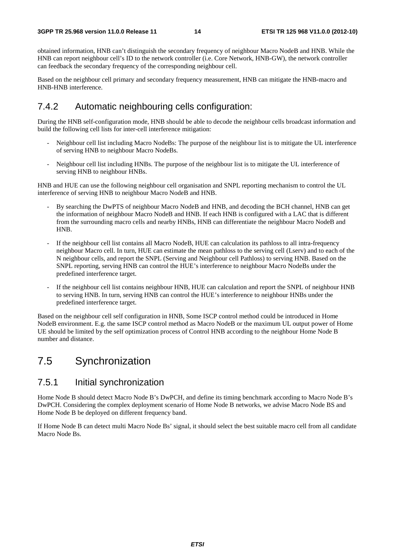obtained information, HNB can't distinguish the secondary frequency of neighbour Macro NodeB and HNB. While the HNB can report neighbour cell's ID to the network controller (i.e. Core Network, HNB-GW), the network controller can feedback the secondary frequency of the corresponding neighbour cell.

Based on the neighbour cell primary and secondary frequency measurement, HNB can mitigate the HNB-macro and HNB-HNB interference.

### 7.4.2 Automatic neighbouring cells configuration:

During the HNB self-configuration mode, HNB should be able to decode the neighbour cells broadcast information and build the following cell lists for inter-cell interference mitigation:

- Neighbour cell list including Macro NodeBs: The purpose of the neighbour list is to mitigate the UL interference of serving HNB to neighbour Macro NodeBs.
- Neighbour cell list including HNBs. The purpose of the neighbour list is to mitigate the UL interference of serving HNB to neighbour HNBs.

HNB and HUE can use the following neighbour cell organisation and SNPL reporting mechanism to control the UL interference of serving HNB to neighbour Macro NodeB and HNB.

- By searching the DwPTS of neighbour Macro NodeB and HNB, and decoding the BCH channel, HNB can get the information of neighbour Macro NodeB and HNB. If each HNB is configured with a LAC that is different from the surrounding macro cells and nearby HNBs, HNB can differentiate the neighbour Macro NodeB and HNB.
- If the neighbour cell list contains all Macro NodeB, HUE can calculation its pathloss to all intra-frequency neighbour Macro cell. In turn, HUE can estimate the mean pathloss to the serving cell (Lserv) and to each of the N neighbour cells, and report the SNPL (Serving and Neighbour cell Pathloss) to serving HNB. Based on the SNPL reporting, serving HNB can control the HUE's interference to neighbour Macro NodeBs under the predefined interference target.
- If the neighbour cell list contains neighbour HNB, HUE can calculation and report the SNPL of neighbour HNB to serving HNB. In turn, serving HNB can control the HUE's interference to neighbour HNBs under the predefined interference target.

Based on the neighbour cell self configuration in HNB, Some ISCP control method could be introduced in Home NodeB environment. E.g. the same ISCP control method as Macro NodeB or the maximum UL output power of Home UE should be limited by the self optimization process of Control HNB according to the neighbour Home Node B number and distance.

# 7.5 Synchronization

### 7.5.1 Initial synchronization

Home Node B should detect Macro Node B's DwPCH, and define its timing benchmark according to Macro Node B's DwPCH. Considering the complex deployment scenario of Home Node B networks, we advise Macro Node BS and Home Node B be deployed on different frequency band.

If Home Node B can detect multi Macro Node Bs' signal, it should select the best suitable macro cell from all candidate Macro Node Bs.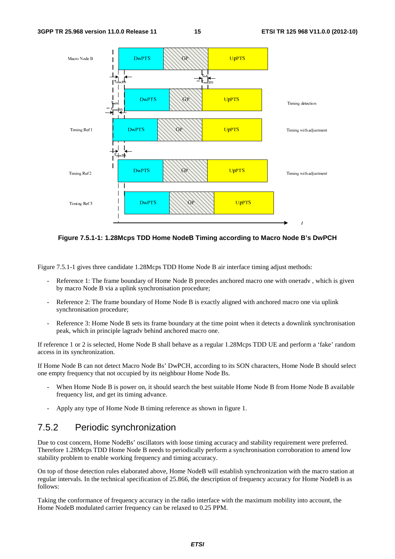

**Figure 7.5.1-1: 1.28Mcps TDD Home NodeB Timing according to Macro Node B's DwPCH** 

Figure 7.5.1-1 gives three candidate 1.28Mcps TDD Home Node B air interface timing adjust methods:

- Reference 1: The frame boundary of Home Node B precedes anchored macro one with onerady, which is given by macro Node B via a uplink synchronisation procedure;
- Reference 2: The frame boundary of Home Node B is exactly aligned with anchored macro one via uplink synchronisation procedure;
- Reference 3: Home Node B sets its frame boundary at the time point when it detects a downlink synchronisation peak, which in principle lagτadv behind anchored macro one.

If reference 1 or 2 is selected, Home Node B shall behave as a regular 1.28Mcps TDD UE and perform a 'fake' random access in its synchronization.

If Home Node B can not detect Macro Node Bs' DwPCH, according to its SON characters, Home Node B should select one empty frequency that not occupied by its neighbour Home Node Bs.

- When Home Node B is power on, it should search the best suitable Home Node B from Home Node B available frequency list, and get its timing advance.
- Apply any type of Home Node B timing reference as shown in figure 1.

### 7.5.2 Periodic synchronization

Due to cost concern, Home NodeBs' oscillators with loose timing accuracy and stability requirement were preferred. Therefore 1.28Mcps TDD Home Node B needs to periodically perform a synchronisation corroboration to amend low stability problem to enable working frequency and timing accuracy.

On top of those detection rules elaborated above, Home NodeB will establish synchronization with the macro station at regular intervals. In the technical specification of 25.866, the description of frequency accuracy for Home NodeB is as follows:

Taking the conformance of frequency accuracy in the radio interface with the maximum mobility into account, the Home NodeB modulated carrier frequency can be relaxed to 0.25 PPM.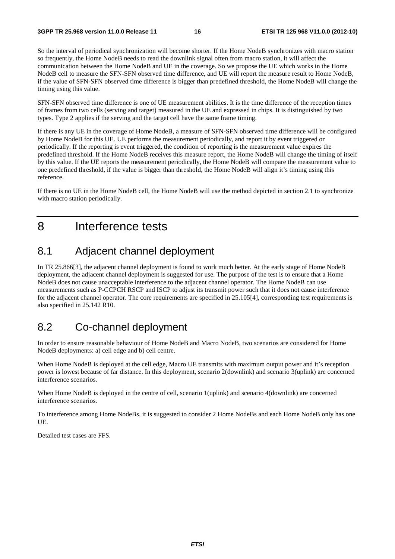So the interval of periodical synchronization will become shorter. If the Home NodeB synchronizes with macro station so frequently, the Home NodeB needs to read the downlink signal often from macro station, it will affect the communication between the Home NodeB and UE in the coverage. So we propose the UE which works in the Home NodeB cell to measure the SFN-SFN observed time difference, and UE will report the measure result to Home NodeB, if the value of SFN-SFN observed time difference is bigger than predefined threshold, the Home NodeB will change the timing using this value.

SFN-SFN observed time difference is one of UE measurement abilities. It is the time difference of the reception times of frames from two cells (serving and target) measured in the UE and expressed in chips. It is distinguished by two types. Type 2 applies if the serving and the target cell have the same frame timing.

If there is any UE in the coverage of Home NodeB, a measure of SFN-SFN observed time difference will be configured by Home NodeB for this UE. UE performs the measurement periodically, and report it by event triggered or periodically. If the reporting is event triggered, the condition of reporting is the measurement value expires the predefined threshold. If the Home NodeB receives this measure report, the Home NodeB will change the timing of itself by this value. If the UE reports the measurement periodically, the Home NodeB will compare the measurement value to one predefined threshold, if the value is bigger than threshold, the Home NodeB will align it's timing using this reference.

If there is no UE in the Home NodeB cell, the Home NodeB will use the method depicted in section 2.1 to synchronize with macro station periodically.

# 8 Interference tests

### 8.1 Adjacent channel deployment

In TR 25.866[3], the adjacent channel deployment is found to work much better. At the early stage of Home NodeB deployment, the adjacent channel deployment is suggested for use. The purpose of the test is to ensure that a Home NodeB does not cause unacceptable interference to the adjacent channel operator. The Home NodeB can use measurements such as P-CCPCH RSCP and ISCP to adjust its transmit power such that it does not cause interference for the adjacent channel operator. The core requirements are specified in 25.105[4], corresponding test requirements is also specified in 25.142 R10.

### 8.2 Co-channel deployment

In order to ensure reasonable behaviour of Home NodeB and Macro NodeB, two scenarios are considered for Home NodeB deployments: a) cell edge and b) cell centre.

When Home NodeB is deployed at the cell edge, Macro UE transmits with maximum output power and it's reception power is lowest because of far distance. In this deployment, scenario 2(downlink) and scenario 3(uplink) are concerned interference scenarios.

When Home NodeB is deployed in the centre of cell, scenario 1(uplink) and scenario 4(downlink) are concerned interference scenarios.

To interference among Home NodeBs, it is suggested to consider 2 Home NodeBs and each Home NodeB only has one UE.

Detailed test cases are FFS.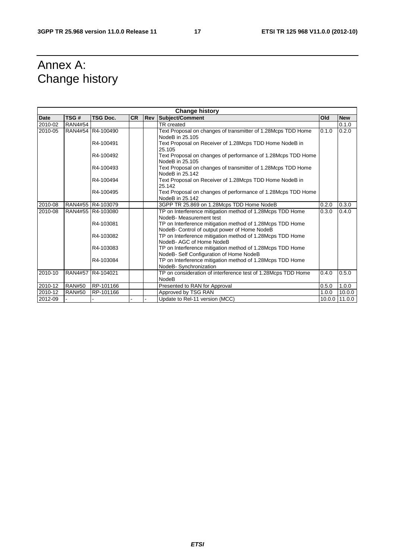# Annex A: Change history

| <b>Change history</b> |                |                   |           |  |                                                                        |       |               |
|-----------------------|----------------|-------------------|-----------|--|------------------------------------------------------------------------|-------|---------------|
| <b>Date</b>           | TSG#           | <b>TSG Doc.</b>   | <b>CR</b> |  | <b>Rev Subject/Comment</b>                                             | Old   | <b>New</b>    |
| 2010-02               | <b>RAN4#54</b> |                   |           |  | TR created                                                             |       | 0.1.0         |
| 2010-05               | RAN4#54        | R4-100490         |           |  | Text Proposal on changes of transmitter of 1.28Mcps TDD Home           | 0.1.0 | 0.2.0         |
|                       |                |                   |           |  | NodeB in 25.105                                                        |       |               |
|                       |                | R4-100491         |           |  | Text Proposal on Receiver of 1.28Mcps TDD Home NodeB in                |       |               |
|                       |                |                   |           |  | 25.105                                                                 |       |               |
|                       |                | R4-100492         |           |  | Text Proposal on changes of performance of 1.28Mcps TDD Home           |       |               |
|                       |                |                   |           |  | NodeB in 25.105                                                        |       |               |
|                       |                | R4-100493         |           |  | Text Proposal on changes of transmitter of 1.28Mcps TDD Home           |       |               |
|                       |                |                   |           |  | NodeB in 25.142                                                        |       |               |
|                       |                | R4-100494         |           |  | Text Proposal on Receiver of 1.28Mcps TDD Home NodeB in                |       |               |
|                       |                | R4-100495         |           |  | 25.142<br>Text Proposal on changes of performance of 1.28Mcps TDD Home |       |               |
|                       |                |                   |           |  | NodeB in 25.142                                                        |       |               |
| 2010-08               |                | RAN4#55 R4-103079 |           |  | 3GPP TR 25.869 on 1.28Mcps TDD Home NodeB                              | 0.2.0 | 0.3.0         |
| 2010-08               |                | RAN4#55 R4-103080 |           |  | TP on Interference mitigation method of 1.28Mcps TDD Home              | 0.3.0 | 0.4.0         |
|                       |                |                   |           |  | NodeB- Measurement test                                                |       |               |
|                       |                | R4-103081         |           |  | TP on Interference mitigation method of 1.28Mcps TDD Home              |       |               |
|                       |                |                   |           |  | NodeB- Control of output power of Home NodeB                           |       |               |
|                       |                | R4-103082         |           |  | TP on Interference mitigation method of 1.28Mcps TDD Home              |       |               |
|                       |                |                   |           |  | NodeB-AGC of Home NodeB                                                |       |               |
|                       |                | R4-103083         |           |  | TP on Interference mitigation method of 1.28Mcps TDD Home              |       |               |
|                       |                |                   |           |  | NodeB- Self Configuration of Home NodeB                                |       |               |
|                       |                | R4-103084         |           |  | TP on Interference mitigation method of 1.28Mcps TDD Home              |       |               |
|                       |                |                   |           |  | NodeB-Synchronization                                                  |       |               |
| 2010-10               | <b>RAN4#57</b> | R4-104021         |           |  | TP on consideration of interference test of 1.28Mcps TDD Home          | 0.4.0 | 0.5.0         |
|                       |                |                   |           |  | <b>NodeB</b>                                                           |       |               |
| 2010-12               | <b>RAN#50</b>  | RP-101166         |           |  | Presented to RAN for Approval                                          | 0.5.0 | 1.0.0         |
| 2010-12               | <b>RAN#50</b>  | RP-101166         |           |  | Approved by TSG RAN                                                    | 1.0.0 | 10.0.0        |
| 2012-09               |                |                   |           |  | Update to Rel-11 version (MCC)                                         |       | 10.0.0 11.0.0 |